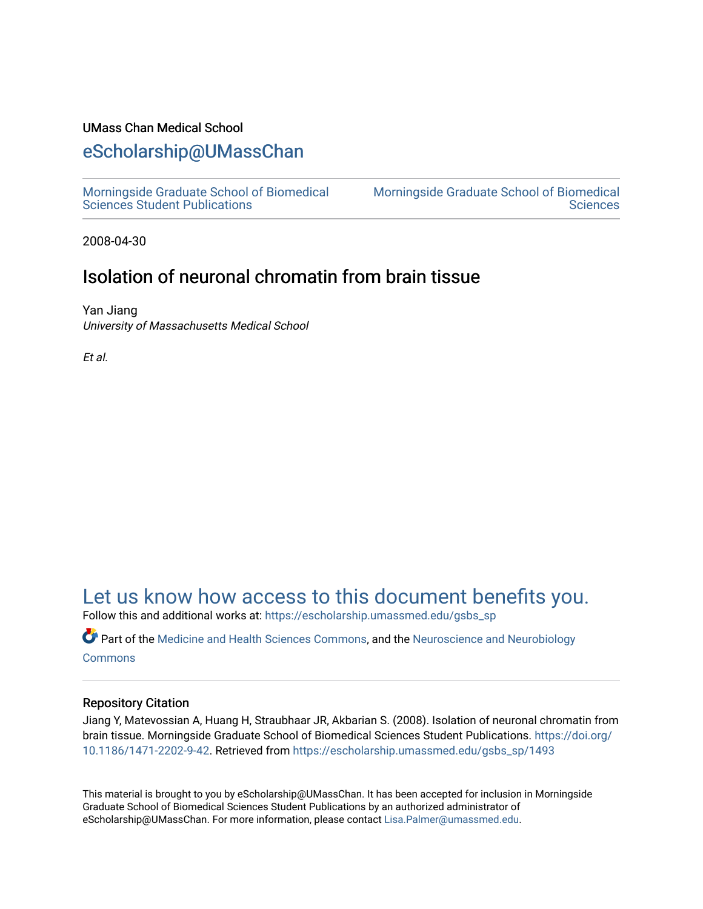# UMass Chan Medical School

# [eScholarship@UMassChan](https://escholarship.umassmed.edu/)

[Morningside Graduate School of Biomedical](https://escholarship.umassmed.edu/gsbs_sp)  [Sciences Student Publications](https://escholarship.umassmed.edu/gsbs_sp) 

[Morningside Graduate School of Biomedical](https://escholarship.umassmed.edu/gsbs)  **Sciences** 

2008-04-30

# Isolation of neuronal chromatin from brain tissue

Yan Jiang University of Massachusetts Medical School

Et al.

# [Let us know how access to this document benefits you.](https://arcsapps.umassmed.edu/redcap/surveys/?s=XWRHNF9EJE)

Follow this and additional works at: [https://escholarship.umassmed.edu/gsbs\\_sp](https://escholarship.umassmed.edu/gsbs_sp?utm_source=escholarship.umassmed.edu%2Fgsbs_sp%2F1493&utm_medium=PDF&utm_campaign=PDFCoverPages)

**Part of the [Medicine and Health Sciences Commons,](http://network.bepress.com/hgg/discipline/648?utm_source=escholarship.umassmed.edu%2Fgsbs_sp%2F1493&utm_medium=PDF&utm_campaign=PDFCoverPages) and the [Neuroscience and Neurobiology](http://network.bepress.com/hgg/discipline/55?utm_source=escholarship.umassmed.edu%2Fgsbs_sp%2F1493&utm_medium=PDF&utm_campaign=PDFCoverPages) [Commons](http://network.bepress.com/hgg/discipline/55?utm_source=escholarship.umassmed.edu%2Fgsbs_sp%2F1493&utm_medium=PDF&utm_campaign=PDFCoverPages)** 

# Repository Citation

Jiang Y, Matevossian A, Huang H, Straubhaar JR, Akbarian S. (2008). Isolation of neuronal chromatin from brain tissue. Morningside Graduate School of Biomedical Sciences Student Publications. [https://doi.org/](https://doi.org/10.1186/1471-2202-9-42) [10.1186/1471-2202-9-42](https://doi.org/10.1186/1471-2202-9-42). Retrieved from [https://escholarship.umassmed.edu/gsbs\\_sp/1493](https://escholarship.umassmed.edu/gsbs_sp/1493?utm_source=escholarship.umassmed.edu%2Fgsbs_sp%2F1493&utm_medium=PDF&utm_campaign=PDFCoverPages)

This material is brought to you by eScholarship@UMassChan. It has been accepted for inclusion in Morningside Graduate School of Biomedical Sciences Student Publications by an authorized administrator of eScholarship@UMassChan. For more information, please contact [Lisa.Palmer@umassmed.edu](mailto:Lisa.Palmer@umassmed.edu).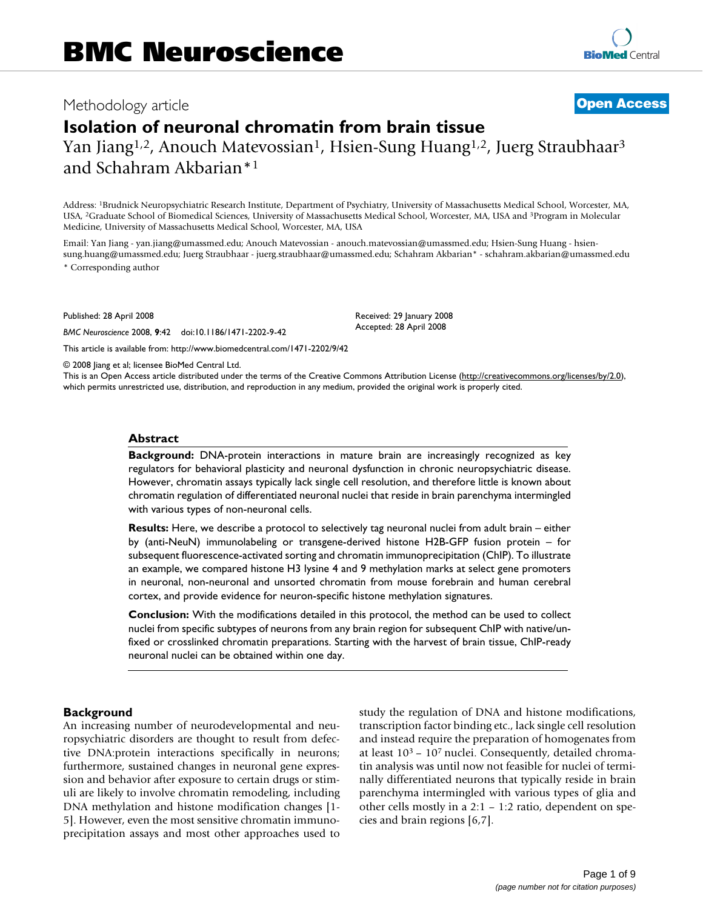# Methodology article **[Open Access](http://www.biomedcentral.com/info/about/charter/)**

# **Isolation of neuronal chromatin from brain tissue** Yan Jiang<sup>1,2</sup>, Anouch Matevossian<sup>1</sup>, Hsien-Sung Huang<sup>1,2</sup>, Juerg Straubhaar<sup>3</sup> and Schahram Akbarian\*1

Address: 1Brudnick Neuropsychiatric Research Institute, Department of Psychiatry, University of Massachusetts Medical School, Worcester, MA, USA, 2Graduate School of Biomedical Sciences, University of Massachusetts Medical School, Worcester, MA, USA and 3Program in Molecular Medicine, University of Massachusetts Medical School, Worcester, MA, USA

Email: Yan Jiang - yan.jiang@umassmed.edu; Anouch Matevossian - anouch.matevossian@umassmed.edu; Hsien-Sung Huang - hsiensung.huang@umassmed.edu; Juerg Straubhaar - juerg.straubhaar@umassmed.edu; Schahram Akbarian\* - schahram.akbarian@umassmed.edu \* Corresponding author

> Received: 29 January 2008 Accepted: 28 April 2008

Published: 28 April 2008

*BMC Neuroscience* 2008, **9**:42 doi:10.1186/1471-2202-9-42

[This article is available from: http://www.biomedcentral.com/1471-2202/9/42](http://www.biomedcentral.com/1471-2202/9/42)

© 2008 Jiang et al; licensee BioMed Central Ltd.

This is an Open Access article distributed under the terms of the Creative Commons Attribution License [\(http://creativecommons.org/licenses/by/2.0\)](http://creativecommons.org/licenses/by/2.0), which permits unrestricted use, distribution, and reproduction in any medium, provided the original work is properly cited.

## **Abstract**

**Background:** DNA-protein interactions in mature brain are increasingly recognized as key regulators for behavioral plasticity and neuronal dysfunction in chronic neuropsychiatric disease. However, chromatin assays typically lack single cell resolution, and therefore little is known about chromatin regulation of differentiated neuronal nuclei that reside in brain parenchyma intermingled with various types of non-neuronal cells.

**Results:** Here, we describe a protocol to selectively tag neuronal nuclei from adult brain – either by (anti-NeuN) immunolabeling or transgene-derived histone H2B-GFP fusion protein – for subsequent fluorescence-activated sorting and chromatin immunoprecipitation (ChIP). To illustrate an example, we compared histone H3 lysine 4 and 9 methylation marks at select gene promoters in neuronal, non-neuronal and unsorted chromatin from mouse forebrain and human cerebral cortex, and provide evidence for neuron-specific histone methylation signatures.

**Conclusion:** With the modifications detailed in this protocol, the method can be used to collect nuclei from specific subtypes of neurons from any brain region for subsequent ChIP with native/unfixed or crosslinked chromatin preparations. Starting with the harvest of brain tissue, ChIP-ready neuronal nuclei can be obtained within one day.

# **Background**

An increasing number of neurodevelopmental and neuropsychiatric disorders are thought to result from defective DNA:protein interactions specifically in neurons; furthermore, sustained changes in neuronal gene expression and behavior after exposure to certain drugs or stimuli are likely to involve chromatin remodeling, including DNA methylation and histone modification changes [1- 5]. However, even the most sensitive chromatin immunoprecipitation assays and most other approaches used to study the regulation of DNA and histone modifications, transcription factor binding etc., lack single cell resolution and instead require the preparation of homogenates from at least 103 – 107 nuclei. Consequently, detailed chromatin analysis was until now not feasible for nuclei of terminally differentiated neurons that typically reside in brain parenchyma intermingled with various types of glia and other cells mostly in a 2:1 – 1:2 ratio, dependent on species and brain regions [6,7].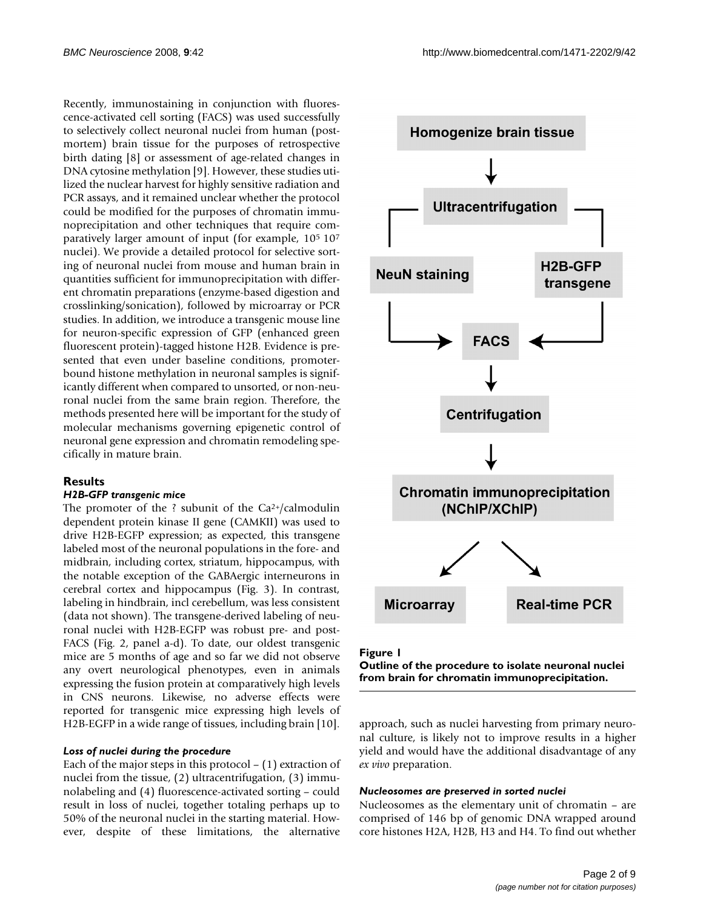Recently, immunostaining in conjunction with fluorescence-activated cell sorting (FACS) was used successfully to selectively collect neuronal nuclei from human (postmortem) brain tissue for the purposes of retrospective birth dating [8] or assessment of age-related changes in DNA cytosine methylation [9]. However, these studies utilized the nuclear harvest for highly sensitive radiation and PCR assays, and it remained unclear whether the protocol could be modified for the purposes of chromatin immunoprecipitation and other techniques that require comparatively larger amount of input (for example, 105 107 nuclei). We provide a detailed protocol for selective sorting of neuronal nuclei from mouse and human brain in quantities sufficient for immunoprecipitation with different chromatin preparations (enzyme-based digestion and crosslinking/sonication), followed by microarray or PCR studies. In addition, we introduce a transgenic mouse line for neuron-specific expression of GFP (enhanced green fluorescent protein)-tagged histone H2B. Evidence is presented that even under baseline conditions, promoterbound histone methylation in neuronal samples is significantly different when compared to unsorted, or non-neuronal nuclei from the same brain region. Therefore, the methods presented here will be important for the study of molecular mechanisms governing epigenetic control of neuronal gene expression and chromatin remodeling specifically in mature brain.

# **Results**

# *H2B-GFP transgenic mice*

The promoter of the ? subunit of the  $Ca^{2+}/cal$ calmodulin dependent protein kinase II gene (CAMKII) was used to drive H2B-EGFP expression; as expected, this transgene labeled most of the neuronal populations in the fore- and midbrain, including cortex, striatum, hippocampus, with the notable exception of the GABAergic interneurons in cerebral cortex and hippocampus (Fig. 3). In contrast, labeling in hindbrain, incl cerebellum, was less consistent (data not shown). The transgene-derived labeling of neuronal nuclei with H2B-EGFP was robust pre- and post-FACS (Fig. 2, panel a-d). To date, our oldest transgenic mice are 5 months of age and so far we did not observe any overt neurological phenotypes, even in animals expressing the fusion protein at comparatively high levels in CNS neurons. Likewise, no adverse effects were reported for transgenic mice expressing high levels of H2B-EGFP in a wide range of tissues, including brain [10].

# *Loss of nuclei during the procedure*

Each of the major steps in this protocol  $- (1)$  extraction of nuclei from the tissue, (2) ultracentrifugation, (3) immunolabeling and (4) fluorescence-activated sorting – could result in loss of nuclei, together totaling perhaps up to 50% of the neuronal nuclei in the starting material. However, despite of these limitations, the alternative



#### Figure 1

**Outline of the procedure to isolate neuronal nuclei from brain for chromatin immunoprecipitation.**

approach, such as nuclei harvesting from primary neuronal culture, is likely not to improve results in a higher yield and would have the additional disadvantage of any *ex vivo* preparation.

#### *Nucleosomes are preserved in sorted nuclei*

Nucleosomes as the elementary unit of chromatin – are comprised of 146 bp of genomic DNA wrapped around core histones H2A, H2B, H3 and H4. To find out whether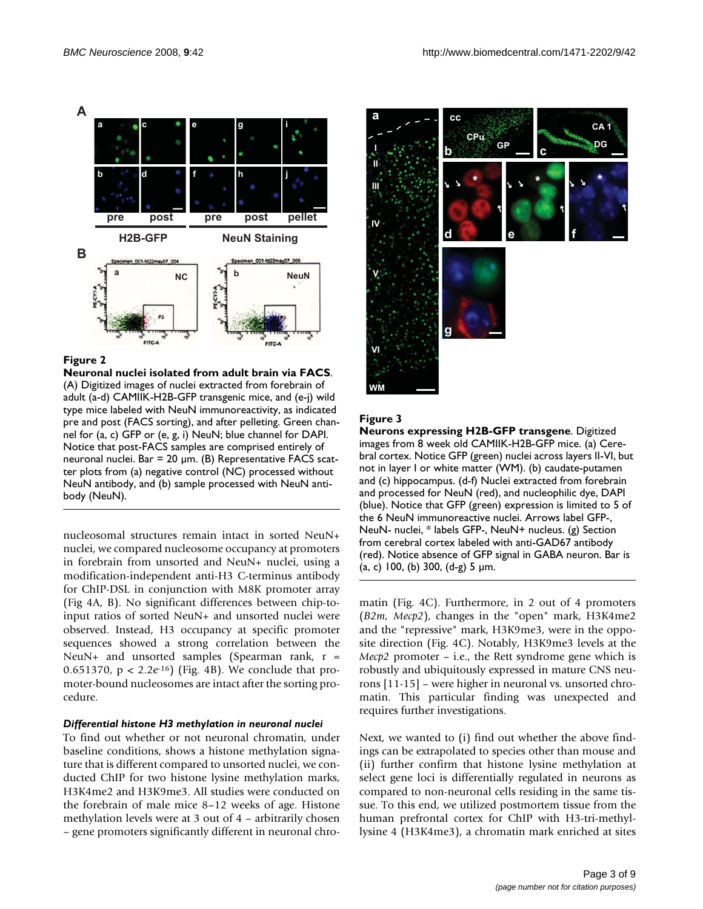

# **Figure 2**

**Neuronal nuclei isolated from adult brain via FACS**. (A) Digitized images of nuclei extracted from forebrain of adult (a-d) CAMIIK-H2B-GFP transgenic mice, and (e-j) wild type mice labeled with NeuN immunoreactivity, as indicated pre and post (FACS sorting), and after pelleting. Green channel for (a, c) GFP or (e, g, i) NeuN; blue channel for DAPI. Notice that post-FACS samples are comprised entirely of neuronal nuclei. Bar = 20 μm. (B) Representative FACS scatter plots from (a) negative control (NC) processed without NeuN antibody, and (b) sample processed with NeuN antibody (NeuN).

nucleosomal structures remain intact in sorted NeuN+ nuclei, we compared nucleosome occupancy at promoters in forebrain from unsorted and NeuN+ nuclei, using a modification-independent anti-H3 C-terminus antibody for ChIP-DSL in conjunction with M8K promoter array (Fig 4A, B). No significant differences between chip-toinput ratios of sorted NeuN+ and unsorted nuclei were observed. Instead, H3 occupancy at specific promoter sequences showed a strong correlation between the NeuN+ and unsorted samples (Spearman rank,  $r =$ 0.651370,  $p < 2.2e^{-16}$ ) (Fig. 4B). We conclude that promoter-bound nucleosomes are intact after the sorting procedure.

# *Differential histone H3 methylation in neuronal nuclei*

To find out whether or not neuronal chromatin, under baseline conditions, shows a histone methylation signature that is different compared to unsorted nuclei, we conducted ChIP for two histone lysine methylation marks, H3K4me2 and H3K9me3. All studies were conducted on the forebrain of male mice 8–12 weeks of age. Histone methylation levels were at 3 out of 4 – arbitrarily chosen – gene promoters significantly different in neuronal chro-



# Figure 3

**Neurons expressing H2B-GFP transgene**. Digitized images from 8 week old CAMIIK-H2B-GFP mice. (a) Cerebral cortex. Notice GFP (green) nuclei across layers II-VI, but not in layer I or white matter (WM). (b) caudate-putamen and (c) hippocampus. (d-f) Nuclei extracted from forebrain and processed for NeuN (red), and nucleophilic dye, DAPI (blue). Notice that GFP (green) expression is limited to 5 of the 6 NeuN immunoreactive nuclei. Arrows label GFP-, NeuN- nuclei, \* labels GFP-, NeuN+ nucleus. (g) Section from cerebral cortex labeled with anti-GAD67 antibody (red). Notice absence of GFP signal in GABA neuron. Bar is (a, c) 100, (b) 300,  $(d-g)$  5  $\mu$ m.

matin (Fig. 4C). Furthermore, in 2 out of 4 promoters (*B2m, Mecp2*), changes in the "open" mark, H3K4me2 and the "repressive" mark, H3K9me3, were in the opposite direction (Fig. 4C). Notably, H3K9me3 levels at the *Mecp2* promoter – i.e., the Rett syndrome gene which is robustly and ubiquitously expressed in mature CNS neurons [11-15] – were higher in neuronal vs. unsorted chromatin. This particular finding was unexpected and requires further investigations.

Next, we wanted to (i) find out whether the above findings can be extrapolated to species other than mouse and (ii) further confirm that histone lysine methylation at select gene loci is differentially regulated in neurons as compared to non-neuronal cells residing in the same tissue. To this end, we utilized postmortem tissue from the human prefrontal cortex for ChIP with H3-tri-methyllysine 4 (H3K4me3), a chromatin mark enriched at sites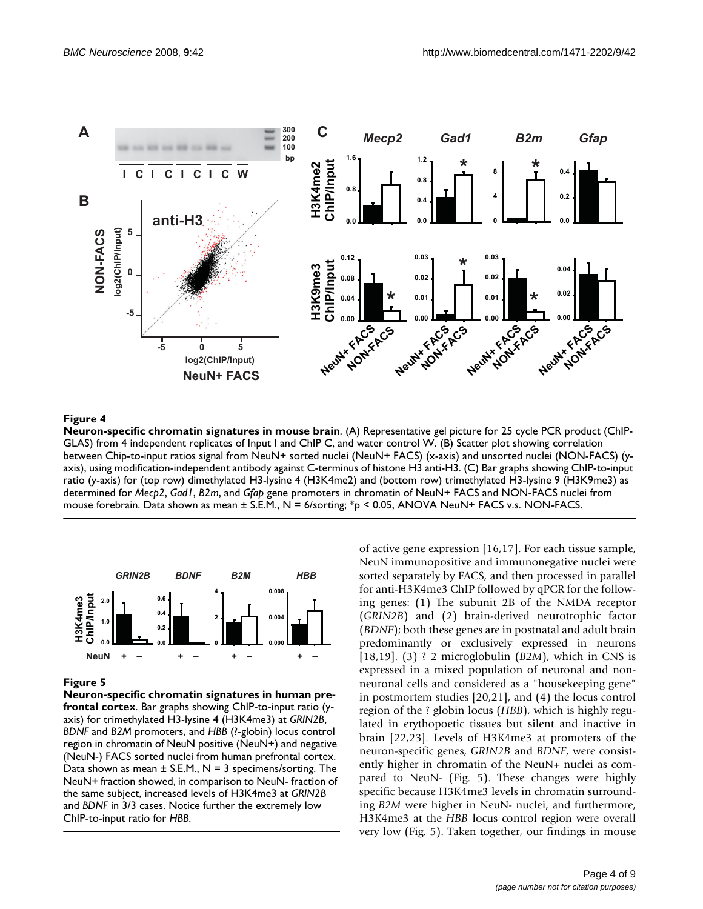

# Figure 4

**Neuron-specific chromatin signatures in mouse brain**. (A) Representative gel picture for 25 cycle PCR product (ChIP-GLAS) from 4 independent replicates of Input I and ChIP C, and water control W. (B) Scatter plot showing correlation between Chip-to-input ratios signal from NeuN+ sorted nuclei (NeuN+ FACS) (x-axis) and unsorted nuclei (NON-FACS) (yaxis), using modification-independent antibody against C-terminus of histone H3 anti-H3. (C) Bar graphs showing ChIP-to-input ratio (y-axis) for (top row) dimethylated H3-lysine 4 (H3K4me2) and (bottom row) trimethylated H3-lysine 9 (H3K9me3) as determined for *Mecp2*, *Gad1*, *B2m*, and *Gfap* gene promoters in chromatin of NeuN+ FACS and NON-FACS nuclei from mouse forebrain. Data shown as mean ± S.E.M., N = 6/sorting; \*p < 0.05, ANOVA NeuN+ FACS v.s. NON-FACS.



# Figure 5

**Neuron-specific chromatin signatures in human prefrontal cortex**. Bar graphs showing ChIP-to-input ratio (yaxis) for trimethylated H3-lysine 4 (H3K4me3) at *GRIN2B*, *BDNF* and *B2M* promoters, and *HBB* (?-globin) locus control region in chromatin of NeuN positive (NeuN+) and negative (NeuN-) FACS sorted nuclei from human prefrontal cortex. Data shown as mean  $\pm$  S.E.M., N = 3 specimens/sorting. The NeuN+ fraction showed, in comparison to NeuN- fraction of the same subject, increased levels of H3K4me3 at *GRIN2B*  and *BDNF* in 3/3 cases. Notice further the extremely low ChIP-to-input ratio for *HBB*.

of active gene expression [16,17]. For each tissue sample, NeuN immunopositive and immunonegative nuclei were sorted separately by FACS, and then processed in parallel for anti-H3K4me3 ChIP followed by qPCR for the following genes: (1) The subunit 2B of the NMDA receptor (*GRIN2B*) and (2) brain-derived neurotrophic factor (*BDNF*); both these genes are in postnatal and adult brain predominantly or exclusively expressed in neurons [18,19]. (3) ? 2 microglobulin (*B2M*), which in CNS is expressed in a mixed population of neuronal and nonneuronal cells and considered as a "housekeeping gene" in postmortem studies [20,21], and (4) the locus control region of the ? globin locus (*HBB*), which is highly regulated in erythopoetic tissues but silent and inactive in brain [22,23]. Levels of H3K4me3 at promoters of the neuron-specific genes, *GRIN2B* and *BDNF*, were consistently higher in chromatin of the NeuN+ nuclei as compared to NeuN- (Fig. 5). These changes were highly specific because H3K4me3 levels in chromatin surrounding *B2M* were higher in NeuN- nuclei, and furthermore, H3K4me3 at the *HBB* locus control region were overall very low (Fig. 5). Taken together, our findings in mouse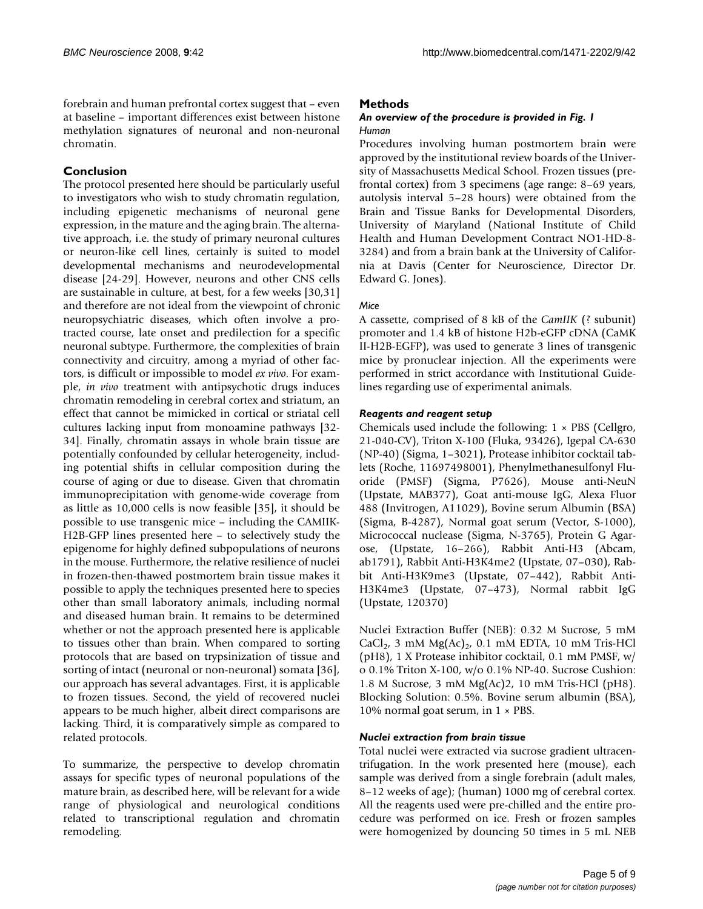forebrain and human prefrontal cortex suggest that – even at baseline – important differences exist between histone methylation signatures of neuronal and non-neuronal chromatin.

# **Conclusion**

The protocol presented here should be particularly useful to investigators who wish to study chromatin regulation, including epigenetic mechanisms of neuronal gene expression, in the mature and the aging brain. The alternative approach, i.e. the study of primary neuronal cultures or neuron-like cell lines, certainly is suited to model developmental mechanisms and neurodevelopmental disease [24-29]. However, neurons and other CNS cells are sustainable in culture, at best, for a few weeks [30,31] and therefore are not ideal from the viewpoint of chronic neuropsychiatric diseases, which often involve a protracted course, late onset and predilection for a specific neuronal subtype. Furthermore, the complexities of brain connectivity and circuitry, among a myriad of other factors, is difficult or impossible to model *ex vivo*. For example, *in vivo* treatment with antipsychotic drugs induces chromatin remodeling in cerebral cortex and striatum, an effect that cannot be mimicked in cortical or striatal cell cultures lacking input from monoamine pathways [32- 34]. Finally, chromatin assays in whole brain tissue are potentially confounded by cellular heterogeneity, including potential shifts in cellular composition during the course of aging or due to disease. Given that chromatin immunoprecipitation with genome-wide coverage from as little as 10,000 cells is now feasible [35], it should be possible to use transgenic mice – including the CAMIIK-H2B-GFP lines presented here – to selectively study the epigenome for highly defined subpopulations of neurons in the mouse. Furthermore, the relative resilience of nuclei in frozen-then-thawed postmortem brain tissue makes it possible to apply the techniques presented here to species other than small laboratory animals, including normal and diseased human brain. It remains to be determined whether or not the approach presented here is applicable to tissues other than brain. When compared to sorting protocols that are based on trypsinization of tissue and sorting of intact (neuronal or non-neuronal) somata [36], our approach has several advantages. First, it is applicable to frozen tissues. Second, the yield of recovered nuclei appears to be much higher, albeit direct comparisons are lacking. Third, it is comparatively simple as compared to related protocols.

To summarize, the perspective to develop chromatin assays for specific types of neuronal populations of the mature brain, as described here, will be relevant for a wide range of physiological and neurological conditions related to transcriptional regulation and chromatin remodeling.

# **Methods**

# *An overview of the procedure is provided in Fig. 1 Human*

Procedures involving human postmortem brain were approved by the institutional review boards of the University of Massachusetts Medical School. Frozen tissues (prefrontal cortex) from 3 specimens (age range: 8–69 years, autolysis interval 5–28 hours) were obtained from the Brain and Tissue Banks for Developmental Disorders, University of Maryland (National Institute of Child Health and Human Development Contract NO1-HD-8- 3284) and from a brain bank at the University of California at Davis (Center for Neuroscience, Director Dr. Edward G. Jones).

# *Mice*

A cassette, comprised of 8 kB of the *CamIIK* (? subunit) promoter and 1.4 kB of histone H2b-eGFP cDNA (CaMK II-H2B-EGFP), was used to generate 3 lines of transgenic mice by pronuclear injection. All the experiments were performed in strict accordance with Institutional Guidelines regarding use of experimental animals.

# *Reagents and reagent setup*

Chemicals used include the following: 1 × PBS (Cellgro, 21-040-CV), Triton X-100 (Fluka, 93426), Igepal CA-630 (NP-40) (Sigma, 1–3021), Protease inhibitor cocktail tablets (Roche, 11697498001), Phenylmethanesulfonyl Fluoride (PMSF) (Sigma, P7626), Mouse anti-NeuN (Upstate, MAB377), Goat anti-mouse IgG, Alexa Fluor 488 (Invitrogen, A11029), Bovine serum Albumin (BSA) (Sigma, B-4287), Normal goat serum (Vector, S-1000), Micrococcal nuclease (Sigma, N-3765), Protein G Agarose, (Upstate, 16–266), Rabbit Anti-H3 (Abcam, ab1791), Rabbit Anti-H3K4me2 (Upstate, 07–030), Rabbit Anti-H3K9me3 (Upstate, 07–442), Rabbit Anti-H3K4me3 (Upstate, 07–473), Normal rabbit IgG (Upstate, 120370)

Nuclei Extraction Buffer (NEB): 0.32 M Sucrose, 5 mM CaCl<sub>2</sub>, 3 mM Mg(Ac)<sub>2</sub>, 0.1 mM EDTA, 10 mM Tris-HCl (pH8), 1 X Protease inhibitor cocktail, 0.1 mM PMSF, w/ o 0.1% Triton X-100, w/o 0.1% NP-40. Sucrose Cushion: 1.8 M Sucrose, 3 mM Mg(Ac)2, 10 mM Tris-HCl (pH8). Blocking Solution: 0.5%. Bovine serum albumin (BSA), 10% normal goat serum, in 1 × PBS.

# *Nuclei extraction from brain tissue*

Total nuclei were extracted via sucrose gradient ultracentrifugation. In the work presented here (mouse), each sample was derived from a single forebrain (adult males, 8–12 weeks of age); (human) 1000 mg of cerebral cortex. All the reagents used were pre-chilled and the entire procedure was performed on ice. Fresh or frozen samples were homogenized by douncing 50 times in 5 mL NEB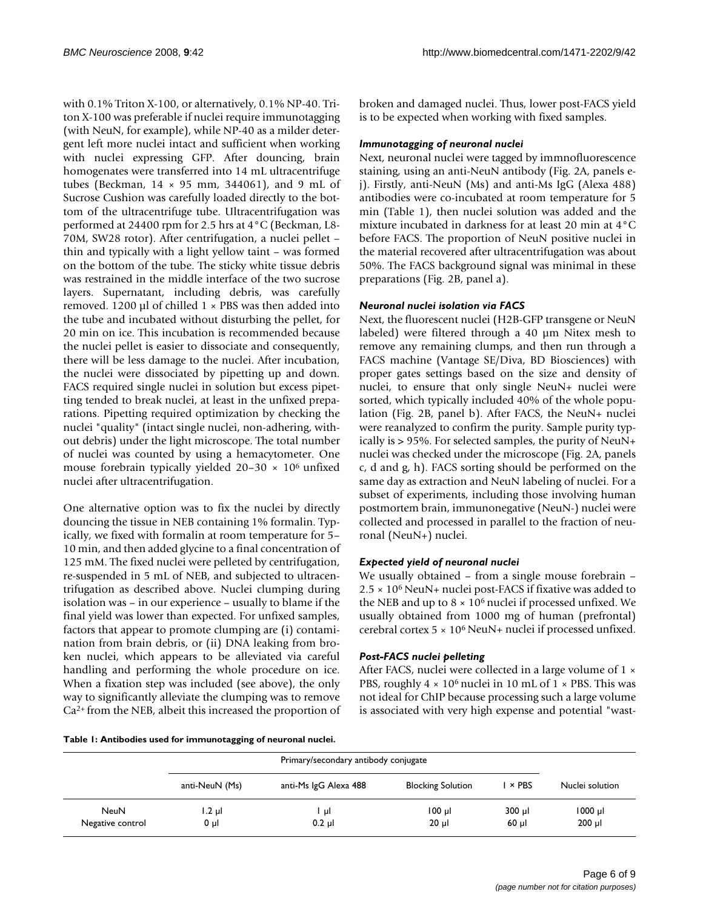with 0.1% Triton X-100, or alternatively, 0.1% NP-40. Triton X-100 was preferable if nuclei require immunotagging (with NeuN, for example), while NP-40 as a milder detergent left more nuclei intact and sufficient when working with nuclei expressing GFP. After douncing, brain homogenates were transferred into 14 mL ultracentrifuge tubes (Beckman, 14 × 95 mm, 344061), and 9 mL of Sucrose Cushion was carefully loaded directly to the bottom of the ultracentrifuge tube. Ultracentrifugation was performed at 24400 rpm for 2.5 hrs at 4°C (Beckman, L8- 70M, SW28 rotor). After centrifugation, a nuclei pellet – thin and typically with a light yellow taint – was formed on the bottom of the tube. The sticky white tissue debris was restrained in the middle interface of the two sucrose layers. Supernatant, including debris, was carefully removed. 1200  $\mu$ l of chilled 1 × PBS was then added into the tube and incubated without disturbing the pellet, for 20 min on ice. This incubation is recommended because the nuclei pellet is easier to dissociate and consequently, there will be less damage to the nuclei. After incubation, the nuclei were dissociated by pipetting up and down. FACS required single nuclei in solution but excess pipetting tended to break nuclei, at least in the unfixed preparations. Pipetting required optimization by checking the nuclei "quality" (intact single nuclei, non-adhering, without debris) under the light microscope. The total number of nuclei was counted by using a hemacytometer. One mouse forebrain typically yielded  $20-30 \times 10^6$  unfixed nuclei after ultracentrifugation.

One alternative option was to fix the nuclei by directly douncing the tissue in NEB containing 1% formalin. Typically, we fixed with formalin at room temperature for 5– 10 min, and then added glycine to a final concentration of 125 mM. The fixed nuclei were pelleted by centrifugation, re-suspended in 5 mL of NEB, and subjected to ultracentrifugation as described above. Nuclei clumping during isolation was – in our experience – usually to blame if the final yield was lower than expected. For unfixed samples, factors that appear to promote clumping are (i) contamination from brain debris, or (ii) DNA leaking from broken nuclei, which appears to be alleviated via careful handling and performing the whole procedure on ice. When a fixation step was included (see above), the only way to significantly alleviate the clumping was to remove Ca2+ from the NEB, albeit this increased the proportion of

**Table 1: Antibodies used for immunotagging of neuronal nuclei.**

broken and damaged nuclei. Thus, lower post-FACS yield is to be expected when working with fixed samples.

# *Immunotagging of neuronal nuclei*

Next, neuronal nuclei were tagged by immnofluorescence staining, using an anti-NeuN antibody (Fig. 2A, panels ej). Firstly, anti-NeuN (Ms) and anti-Ms IgG (Alexa 488) antibodies were co-incubated at room temperature for 5 min (Table 1), then nuclei solution was added and the mixture incubated in darkness for at least 20 min at 4°C before FACS. The proportion of NeuN positive nuclei in the material recovered after ultracentrifugation was about 50%. The FACS background signal was minimal in these preparations (Fig. 2B, panel a).

# *Neuronal nuclei isolation via FACS*

Next, the fluorescent nuclei (H2B-GFP transgene or NeuN labeled) were filtered through a 40 µm Nitex mesh to remove any remaining clumps, and then run through a FACS machine (Vantage SE/Diva, BD Biosciences) with proper gates settings based on the size and density of nuclei, to ensure that only single NeuN+ nuclei were sorted, which typically included 40% of the whole population (Fig. 2B, panel b). After FACS, the NeuN+ nuclei were reanalyzed to confirm the purity. Sample purity typically is > 95%. For selected samples, the purity of NeuN+ nuclei was checked under the microscope (Fig. 2A, panels c, d and g, h). FACS sorting should be performed on the same day as extraction and NeuN labeling of nuclei. For a subset of experiments, including those involving human postmortem brain, immunonegative (NeuN-) nuclei were collected and processed in parallel to the fraction of neuronal (NeuN+) nuclei.

# *Expected yield of neuronal nuclei*

We usually obtained – from a single mouse forebrain – 2.5 × 106 NeuN+ nuclei post-FACS if fixative was added to the NEB and up to  $8 \times 10^6$  nuclei if processed unfixed. We usually obtained from 1000 mg of human (prefrontal) cerebral cortex 5 × 106 NeuN+ nuclei if processed unfixed.

# *Post-FACS nuclei pelleting*

After FACS, nuclei were collected in a large volume of 1  $\times$ PBS, roughly  $4 \times 10^6$  nuclei in 10 mL of  $1 \times$  PBS. This was not ideal for ChIP because processing such a large volume is associated with very high expense and potential "wast-

|                  | Primary/secondary antibody conjugate |                       |                          |                                |                 |
|------------------|--------------------------------------|-----------------------|--------------------------|--------------------------------|-----------------|
|                  | anti-NeuN (Ms)                       | anti-Ms IgG Alexa 488 | <b>Blocking Solution</b> | $\overline{\phantom{a}}$ × PBS | Nuclei solution |
| NeuN             | 1.2 µl                               | -ul                   | $100$ $\mu$              | $300 \mu$                      | $1000$ $\mu$    |
| Negative control | 0 µl                                 | $0.2$ µl              | $20 \mu$                 | $60$ µl                        | $200$ µl        |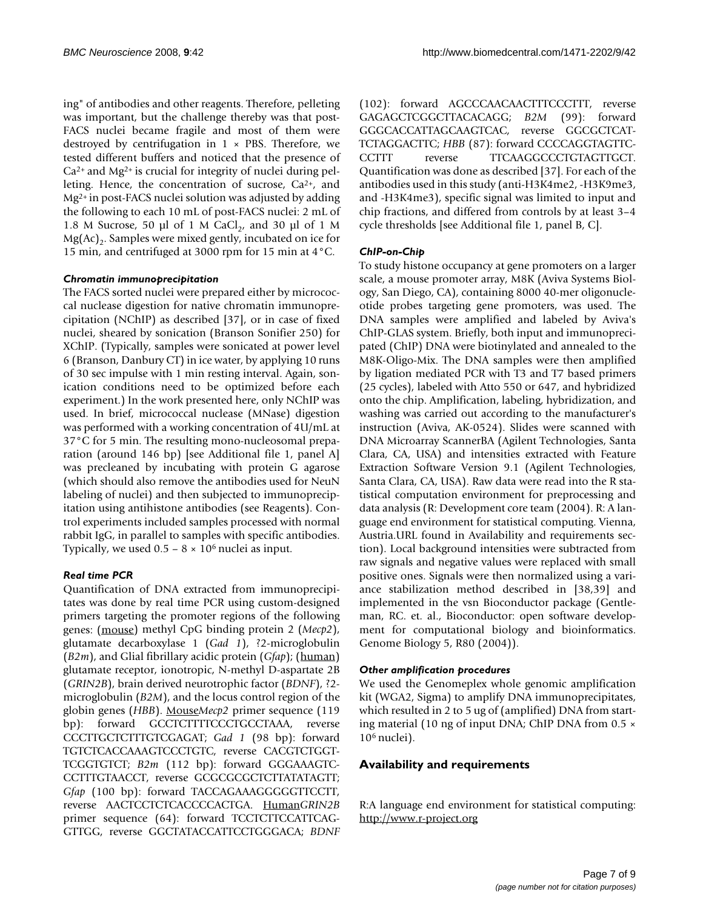ing" of antibodies and other reagents. Therefore, pelleting was important, but the challenge thereby was that post-FACS nuclei became fragile and most of them were destroyed by centrifugation in  $1 \times$  PBS. Therefore, we tested different buffers and noticed that the presence of  $Ca<sup>2+</sup>$  and Mg<sup>2+</sup> is crucial for integrity of nuclei during pelleting. Hence, the concentration of sucrose, Ca2+, and Mg2+ in post-FACS nuclei solution was adjusted by adding the following to each 10 mL of post-FACS nuclei: 2 mL of 1.8 M Sucrose, 50 µl of 1 M CaCl<sub>2</sub>, and 30 µl of 1 M  $Mg(Ac)$ <sub>2</sub>. Samples were mixed gently, incubated on ice for 15 min, and centrifuged at 3000 rpm for 15 min at 4°C.

# *Chromatin immunoprecipitation*

The FACS sorted nuclei were prepared either by micrococcal nuclease digestion for native chromatin immunoprecipitation (NChIP) as described [37], or in case of fixed nuclei, sheared by sonication (Branson Sonifier 250) for XChIP. (Typically, samples were sonicated at power level 6 (Branson, Danbury CT) in ice water, by applying 10 runs of 30 sec impulse with 1 min resting interval. Again, sonication conditions need to be optimized before each experiment.) In the work presented here, only NChIP was used. In brief, micrococcal nuclease (MNase) digestion was performed with a working concentration of 4U/mL at 37°C for 5 min. The resulting mono-nucleosomal preparation (around 146 bp) [see Additional file 1, panel A] was precleaned by incubating with protein G agarose (which should also remove the antibodies used for NeuN labeling of nuclei) and then subjected to immunoprecipitation using antihistone antibodies (see Reagents). Control experiments included samples processed with normal rabbit IgG, in parallel to samples with specific antibodies. Typically, we used  $0.5 - 8 \times 10^6$  nuclei as input.

# *Real time PCR*

Quantification of DNA extracted from immunoprecipitates was done by real time PCR using custom-designed primers targeting the promoter regions of the following genes: (mouse) methyl CpG binding protein 2 (*Mecp2*), glutamate decarboxylase 1 (*Gad 1*), ?2-microglobulin (*B2m*), and Glial fibrillary acidic protein (*Gfap*); (human) glutamate receptor, ionotropic, N-methyl D-aspartate 2B (*GRIN2B*), brain derived neurotrophic factor (*BDNF*), ?2 microglobulin (*B2M*), and the locus control region of the globin genes (*HBB*). Mouse*Mecp2* primer sequence (119 bp): forward GCCTCTTTTCCCTGCCTAAA, reverse CCCTTGCTCTTTGTCGAGAT; *Gad 1* (98 bp): forward TGTCTCACCAAAGTCCCTGTC, reverse CACGTCTGGT-TCGGTGTCT; *B2m* (112 bp): forward GGGAAAGTC-CCTTTGTAACCT, reverse GCGCGCGCTCTTATATAGTT; *Gfap* (100 bp): forward TACCAGAAAGGGGGTTCCTT, reverse AACTCCTCTCACCCCACTGA. Human*GRIN2B* primer sequence (64): forward TCCTCTTCCATTCAG-GTTGG, reverse GGCTATACCATTCCTGGGACA; *BDNF* (102): forward AGCCCAACAACTTTCCCTTT, reverse GAGAGCTCGGCTTACACAGG; *B2M* (99): forward GGGCACCATTAGCAAGTCAC, reverse GGCGCTCAT-TCTAGGACTTC; *HBB* (87): forward CCCCAGGTAGTTC-CCTTT reverse TTCAAGGCCCTGTAGTTGCT. Quantification was done as described [37]. For each of the antibodies used in this study (anti-H3K4me2, -H3K9me3, and -H3K4me3), specific signal was limited to input and chip fractions, and differed from controls by at least 3–4 cycle thresholds [see Additional file 1, panel B, C].

# *ChIP-on-Chip*

To study histone occupancy at gene promoters on a larger scale, a mouse promoter array, M8K (Aviva Systems Biology, San Diego, CA), containing 8000 40-mer oligonucleotide probes targeting gene promoters, was used. The DNA samples were amplified and labeled by Aviva's ChIP-GLAS system. Briefly, both input and immunoprecipated (ChIP) DNA were biotinylated and annealed to the M8K-Oligo-Mix. The DNA samples were then amplified by ligation mediated PCR with T3 and T7 based primers (25 cycles), labeled with Atto 550 or 647, and hybridized onto the chip. Amplification, labeling, hybridization, and washing was carried out according to the manufacturer's instruction (Aviva, AK-0524). Slides were scanned with DNA Microarray ScannerBA (Agilent Technologies, Santa Clara, CA, USA) and intensities extracted with Feature Extraction Software Version 9.1 (Agilent Technologies, Santa Clara, CA, USA). Raw data were read into the R statistical computation environment for preprocessing and data analysis (R: Development core team (2004). R: A language end environment for statistical computing. Vienna, Austria.URL found in Availability and requirements section). Local background intensities were subtracted from raw signals and negative values were replaced with small positive ones. Signals were then normalized using a variance stabilization method described in [38,39] and implemented in the vsn Bioconductor package (Gentleman, RC. et. al., Bioconductor: open software development for computational biology and bioinformatics. Genome Biology 5, R80 (2004)).

# *Other amplification procedures*

We used the Genomeplex whole genomic amplification kit (WGA2, Sigma) to amplify DNA immunoprecipitates, which resulted in 2 to 5 ug of (amplified) DNA from starting material (10 ng of input DNA; ChIP DNA from 0.5 × 106 nuclei).

# **Availability and requirements**

R:A language end environment for statistical computing: <http://www.r-project.org>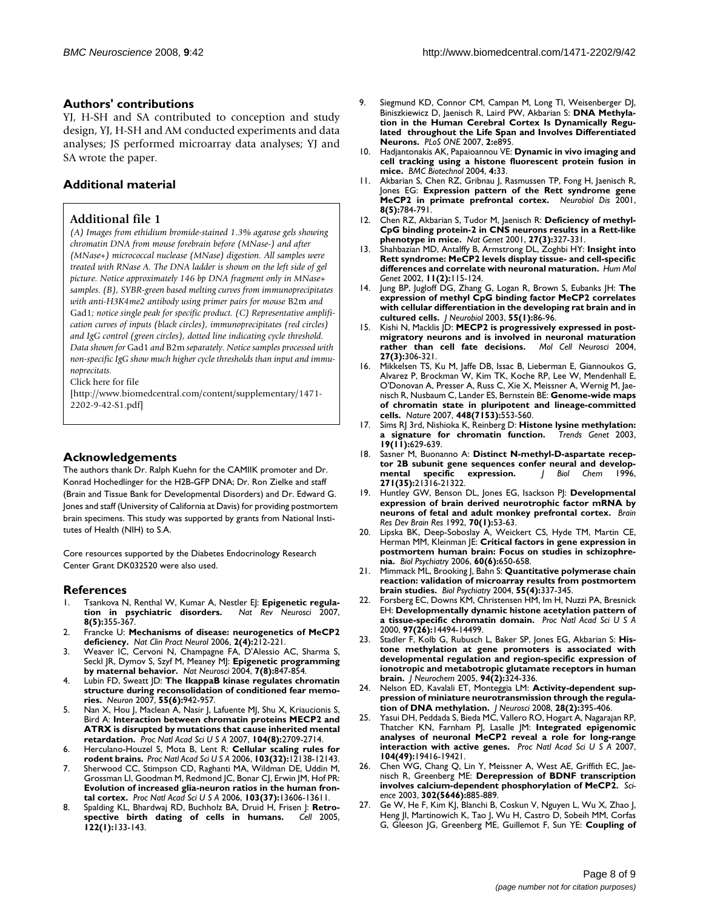# **Authors' contributions**

YJ, H-SH and SA contributed to conception and study design, YJ, H-SH and AM conducted experiments and data analyses; JS performed microarray data analyses; YJ and SA wrote the paper.

# **Additional material**

# **Additional file 1**

*(A) Images from ethidium bromide-stained 1.3% agarose gels showing chromatin DNA from mouse forebrain before (MNase-) and after (MNase+) micrococcal nuclease (MNase) digestion. All samples were treated with RNase A. The DNA ladder is shown on the left side of gel picture. Notice approximately 146 bp DNA fragment only in MNase+ samples. (B), SYBR-green based melting curves from immunoprecipitates with anti-H3K4me2 antibody using primer pairs for mouse* B2m *and*  Gad1*; notice single peak for specific product. (C) Representative amplification curves of inputs (black circles), immunoprecipitates (red circles) and IgG control (green circles), dotted line indicating cycle threshold. Data shown for* Gad1 *and* B2m *separately. Notice samples processed with non-specific IgG show much higher cycle thresholds than input and immunoprecitats.*

Click here for file

[\[http://www.biomedcentral.com/content/supplementary/1471-](http://www.biomedcentral.com/content/supplementary/1471-2202-9-42-S1.pdf) 2202-9-42-S1.pdf]

# **Acknowledgements**

The authors thank Dr. Ralph Kuehn for the CAMIIK promoter and Dr. Konrad Hochedlinger for the H2B-GFP DNA; Dr. Ron Zielke and staff (Brain and Tissue Bank for Developmental Disorders) and Dr. Edward G. Jones and staff (University of California at Davis) for providing postmortem brain specimens. This study was supported by grants from National Institutes of Health (NIH) to S.A.

Core resources supported by the Diabetes Endocrinology Research Center Grant DK032520 were also used.

#### **References**

- Tsankova N, Renthal W, Kumar A, Nestler EJ: **Epigenetic regula-**<br> **tion in psychiatric disorders.** Nat Rev Neurosci 2007, **[tion in psychiatric disorders.](http://www.ncbi.nlm.nih.gov/entrez/query.fcgi?cmd=Retrieve&db=PubMed&dopt=Abstract&list_uids=17453016)** *Nat Rev Neurosci* 2007, **8(5):**355-367.
- 2. Francke U: **[Mechanisms of disease: neurogenetics of MeCP2](http://www.ncbi.nlm.nih.gov/entrez/query.fcgi?cmd=Retrieve&db=PubMed&dopt=Abstract&list_uids=16932552) [deficiency.](http://www.ncbi.nlm.nih.gov/entrez/query.fcgi?cmd=Retrieve&db=PubMed&dopt=Abstract&list_uids=16932552)** *Nat Clin Pract Neurol* 2006, **2(4):**212-221.
- 3. Weaver IC, Cervoni N, Champagne FA, D'Alessio AC, Sharma S, Seckl JR, Dymov S, Szyf M, Meaney MJ: **[Epigenetic programming](http://www.ncbi.nlm.nih.gov/entrez/query.fcgi?cmd=Retrieve&db=PubMed&dopt=Abstract&list_uids=15220929) [by maternal behavior.](http://www.ncbi.nlm.nih.gov/entrez/query.fcgi?cmd=Retrieve&db=PubMed&dopt=Abstract&list_uids=15220929)** *Nat Neurosci* 2004, **7(8):**847-854.
- 4. Lubin FD, Sweatt JD: **[The IkappaB kinase regulates chromatin](http://www.ncbi.nlm.nih.gov/entrez/query.fcgi?cmd=Retrieve&db=PubMed&dopt=Abstract&list_uids=17880897) [structure during reconsolidation of conditioned fear memo](http://www.ncbi.nlm.nih.gov/entrez/query.fcgi?cmd=Retrieve&db=PubMed&dopt=Abstract&list_uids=17880897)[ries.](http://www.ncbi.nlm.nih.gov/entrez/query.fcgi?cmd=Retrieve&db=PubMed&dopt=Abstract&list_uids=17880897)** *Neuron* 2007, **55(6):**942-957.
- 5. Nan X, Hou J, Maclean A, Nasir J, Lafuente MJ, Shu X, Kriaucionis S, Bird A: **[Interaction between chromatin proteins MECP2 and](http://www.ncbi.nlm.nih.gov/entrez/query.fcgi?cmd=Retrieve&db=PubMed&dopt=Abstract&list_uids=17296936) [ATRX is disrupted by mutations that cause inherited mental](http://www.ncbi.nlm.nih.gov/entrez/query.fcgi?cmd=Retrieve&db=PubMed&dopt=Abstract&list_uids=17296936) [retardation.](http://www.ncbi.nlm.nih.gov/entrez/query.fcgi?cmd=Retrieve&db=PubMed&dopt=Abstract&list_uids=17296936)** *Proc Natl Acad Sci U S A* 2007, **104(8):**2709-2714.
- 6. Herculano-Houzel S, Mota B, Lent R: **[Cellular scaling rules for](http://www.ncbi.nlm.nih.gov/entrez/query.fcgi?cmd=Retrieve&db=PubMed&dopt=Abstract&list_uids=16880386) [rodent brains.](http://www.ncbi.nlm.nih.gov/entrez/query.fcgi?cmd=Retrieve&db=PubMed&dopt=Abstract&list_uids=16880386)** *Proc Natl Acad Sci U S A* 2006, **103(32):**12138-12143.
- Sherwood CC, Stimpson CD, Raghanti MA, Wildman DE, Uddin M, Grossman LI, Goodman M, Redmond JC, Bonar CJ, Erwin JM, Hof PR: **[Evolution of increased glia-neuron ratios in the human fron](http://www.ncbi.nlm.nih.gov/entrez/query.fcgi?cmd=Retrieve&db=PubMed&dopt=Abstract&list_uids=16938869)[tal cortex.](http://www.ncbi.nlm.nih.gov/entrez/query.fcgi?cmd=Retrieve&db=PubMed&dopt=Abstract&list_uids=16938869)** *Proc Natl Acad Sci U S A* 2006, **103(37):**13606-13611.
- Spalding KL, Bhardwaj RD, Buchholz BA, Druid H, Frisen J: **Retro-**<br>spective birth dating of cells in humans. Cell 2005. [spective birth dating of cells in humans.](http://www.ncbi.nlm.nih.gov/entrez/query.fcgi?cmd=Retrieve&db=PubMed&dopt=Abstract&list_uids=16009139) **122(1):**133-143.
- 9. Siegmund KD, Connor CM, Campan M, Long TI, Weisenberger DJ, Biniszkiewicz D, Jaenisch R, Laird PW, Akbarian S: **[DNA Methyla](http://www.ncbi.nlm.nih.gov/entrez/query.fcgi?cmd=Retrieve&db=PubMed&dopt=Abstract&list_uids=17878930)[tion in the Human Cerebral Cortex Is Dynamically Regu](http://www.ncbi.nlm.nih.gov/entrez/query.fcgi?cmd=Retrieve&db=PubMed&dopt=Abstract&list_uids=17878930)lated throughout the Life Span and Involves Differentiated [Neurons.](http://www.ncbi.nlm.nih.gov/entrez/query.fcgi?cmd=Retrieve&db=PubMed&dopt=Abstract&list_uids=17878930)** *PLoS ONE* 2007, **2:**e895.
- 10. Hadjantonakis AK, Papaioannou VE: **[Dynamic in vivo imaging and](http://www.ncbi.nlm.nih.gov/entrez/query.fcgi?cmd=Retrieve&db=PubMed&dopt=Abstract&list_uids=15619330) [cell tracking using a histone fluorescent protein fusion in](http://www.ncbi.nlm.nih.gov/entrez/query.fcgi?cmd=Retrieve&db=PubMed&dopt=Abstract&list_uids=15619330) [mice.](http://www.ncbi.nlm.nih.gov/entrez/query.fcgi?cmd=Retrieve&db=PubMed&dopt=Abstract&list_uids=15619330)** *BMC Biotechnol* 2004, **4:**33.
- 11. Akbarian S, Chen RZ, Gribnau J, Rasmussen TP, Fong H, Jaenisch R, Jones EG: **[Expression pattern of the Rett syndrome gene](http://www.ncbi.nlm.nih.gov/entrez/query.fcgi?cmd=Retrieve&db=PubMed&dopt=Abstract&list_uids=11592848) [MeCP2 in primate prefrontal cortex.](http://www.ncbi.nlm.nih.gov/entrez/query.fcgi?cmd=Retrieve&db=PubMed&dopt=Abstract&list_uids=11592848)** *Neurobiol Dis* 2001, **8(5):**784-791.
- 12. Chen RZ, Akbarian S, Tudor M, Jaenisch R: **[Deficiency of methyl-](http://www.ncbi.nlm.nih.gov/entrez/query.fcgi?cmd=Retrieve&db=PubMed&dopt=Abstract&list_uids=11242118)[CpG binding protein-2 in CNS neurons results in a Rett-like](http://www.ncbi.nlm.nih.gov/entrez/query.fcgi?cmd=Retrieve&db=PubMed&dopt=Abstract&list_uids=11242118) [phenotype in mice.](http://www.ncbi.nlm.nih.gov/entrez/query.fcgi?cmd=Retrieve&db=PubMed&dopt=Abstract&list_uids=11242118)** *Nat Genet* 2001, **27(3):**327-331.
- 13. Shahbazian MD, Antalffy B, Armstrong DL, Zoghbi HY: **[Insight into](http://www.ncbi.nlm.nih.gov/entrez/query.fcgi?cmd=Retrieve&db=PubMed&dopt=Abstract&list_uids=11809720) [Rett syndrome: MeCP2 levels display tissue- and cell-specific](http://www.ncbi.nlm.nih.gov/entrez/query.fcgi?cmd=Retrieve&db=PubMed&dopt=Abstract&list_uids=11809720) [differences and correlate with neuronal maturation.](http://www.ncbi.nlm.nih.gov/entrez/query.fcgi?cmd=Retrieve&db=PubMed&dopt=Abstract&list_uids=11809720)** *Hum Mol Genet* 2002, **11(2):**115-124.
- 14. Jung BP, Jugloff DG, Zhang G, Logan R, Brown S, Eubanks JH: **[The](http://www.ncbi.nlm.nih.gov/entrez/query.fcgi?cmd=Retrieve&db=PubMed&dopt=Abstract&list_uids=12605461) [expression of methyl CpG binding factor MeCP2 correlates](http://www.ncbi.nlm.nih.gov/entrez/query.fcgi?cmd=Retrieve&db=PubMed&dopt=Abstract&list_uids=12605461) with cellular differentiation in the developing rat brain and in [cultured cells.](http://www.ncbi.nlm.nih.gov/entrez/query.fcgi?cmd=Retrieve&db=PubMed&dopt=Abstract&list_uids=12605461)** *J Neurobiol* 2003, **55(1):**86-96.
- 15. Kishi N, Macklis JD: **[MECP2 is progressively expressed in post](http://www.ncbi.nlm.nih.gov/entrez/query.fcgi?cmd=Retrieve&db=PubMed&dopt=Abstract&list_uids=15519245)[migratory neurons and is involved in neuronal maturation](http://www.ncbi.nlm.nih.gov/entrez/query.fcgi?cmd=Retrieve&db=PubMed&dopt=Abstract&list_uids=15519245) [rather than cell fate decisions.](http://www.ncbi.nlm.nih.gov/entrez/query.fcgi?cmd=Retrieve&db=PubMed&dopt=Abstract&list_uids=15519245)** *Mol Cell Neurosci* 2004, **27(3):**306-321.
- 16. Mikkelsen TS, Ku M, Jaffe DB, Issac B, Lieberman E, Giannoukos G, Alvarez P, Brockman W, Kim TK, Koche RP, Lee W, Mendenhall E, O'Donovan A, Presser A, Russ C, Xie X, Meissner A, Wernig M, Jaenisch R, Nusbaum C, Lander ES, Bernstein BE: **[Genome-wide maps](http://www.ncbi.nlm.nih.gov/entrez/query.fcgi?cmd=Retrieve&db=PubMed&dopt=Abstract&list_uids=17603471) [of chromatin state in pluripotent and lineage-committed](http://www.ncbi.nlm.nih.gov/entrez/query.fcgi?cmd=Retrieve&db=PubMed&dopt=Abstract&list_uids=17603471) [cells.](http://www.ncbi.nlm.nih.gov/entrez/query.fcgi?cmd=Retrieve&db=PubMed&dopt=Abstract&list_uids=17603471)** *Nature* 2007, **448(7153):**553-560.
- 17. Sims RJ 3rd, Nishioka K, Reinberg D: **[Histone lysine methylation:](http://www.ncbi.nlm.nih.gov/entrez/query.fcgi?cmd=Retrieve&db=PubMed&dopt=Abstract&list_uids=14585615)** [a signature for chromatin function.](http://www.ncbi.nlm.nih.gov/entrez/query.fcgi?cmd=Retrieve&db=PubMed&dopt=Abstract&list_uids=14585615) **19(11):**629-639.
- 18. Sasner M, Buonanno A: [Distinct N-methyl-D-aspartate recep](http://www.ncbi.nlm.nih.gov/entrez/query.fcgi?cmd=Retrieve&db=PubMed&dopt=Abstract&list_uids=8702910)**[tor 2B subunit gene sequences confer neural and develop](http://www.ncbi.nlm.nih.gov/entrez/query.fcgi?cmd=Retrieve&db=PubMed&dopt=Abstract&list_uids=8702910)[mental specific expression.](http://www.ncbi.nlm.nih.gov/entrez/query.fcgi?cmd=Retrieve&db=PubMed&dopt=Abstract&list_uids=8702910)** *J Biol Chem* 1996, **271(35):**21316-21322.
- 19. Huntley GW, Benson DL, Jones EG, Isackson PJ: **[Developmental](http://www.ncbi.nlm.nih.gov/entrez/query.fcgi?cmd=Retrieve&db=PubMed&dopt=Abstract&list_uids=1473278) [expression of brain derived neurotrophic factor mRNA by](http://www.ncbi.nlm.nih.gov/entrez/query.fcgi?cmd=Retrieve&db=PubMed&dopt=Abstract&list_uids=1473278) [neurons of fetal and adult monkey prefrontal cortex.](http://www.ncbi.nlm.nih.gov/entrez/query.fcgi?cmd=Retrieve&db=PubMed&dopt=Abstract&list_uids=1473278)** *Brain Res Dev Brain Res* 1992, **70(1):**53-63.
- 20. Lipska BK, Deep-Soboslay A, Weickert CS, Hyde TM, Martin CE, Herman MM, Kleinman JE: **[Critical factors in gene expression in](http://www.ncbi.nlm.nih.gov/entrez/query.fcgi?cmd=Retrieve&db=PubMed&dopt=Abstract&list_uids=16997002) [postmortem human brain: Focus on studies in schizophre](http://www.ncbi.nlm.nih.gov/entrez/query.fcgi?cmd=Retrieve&db=PubMed&dopt=Abstract&list_uids=16997002)[nia.](http://www.ncbi.nlm.nih.gov/entrez/query.fcgi?cmd=Retrieve&db=PubMed&dopt=Abstract&list_uids=16997002)** *Biol Psychiatry* 2006, **60(6):**650-658.
- 21. Mimmack ML, Brooking J, Bahn S: **[Quantitative polymerase chain](http://www.ncbi.nlm.nih.gov/entrez/query.fcgi?cmd=Retrieve&db=PubMed&dopt=Abstract&list_uids=14960285) [reaction: validation of microarray results from postmortem](http://www.ncbi.nlm.nih.gov/entrez/query.fcgi?cmd=Retrieve&db=PubMed&dopt=Abstract&list_uids=14960285) [brain studies.](http://www.ncbi.nlm.nih.gov/entrez/query.fcgi?cmd=Retrieve&db=PubMed&dopt=Abstract&list_uids=14960285)** *Biol Psychiatry* 2004, **55(4):**337-345.
- 22. Forsberg EC, Downs KM, Christensen HM, Im H, Nuzzi PA, Bresnick EH: **[Developmentally dynamic histone acetylation pattern of](http://www.ncbi.nlm.nih.gov/entrez/query.fcgi?cmd=Retrieve&db=PubMed&dopt=Abstract&list_uids=11121052) [a tissue-specific chromatin domain.](http://www.ncbi.nlm.nih.gov/entrez/query.fcgi?cmd=Retrieve&db=PubMed&dopt=Abstract&list_uids=11121052)** *Proc Natl Acad Sci U S A* 2000, **97(26):**14494-14499.
- 23. Stadler F, Kolb G, Rubusch L, Baker SP, Jones EG, Akbarian S: **[His](http://www.ncbi.nlm.nih.gov/entrez/query.fcgi?cmd=Retrieve&db=PubMed&dopt=Abstract&list_uids=15998284)tone methylation at gene promoters is associated with [developmental regulation and region-specific expression of](http://www.ncbi.nlm.nih.gov/entrez/query.fcgi?cmd=Retrieve&db=PubMed&dopt=Abstract&list_uids=15998284) ionotropic and metabotropic glutamate receptors in human [brain.](http://www.ncbi.nlm.nih.gov/entrez/query.fcgi?cmd=Retrieve&db=PubMed&dopt=Abstract&list_uids=15998284)** *J Neurochem* 2005, **94(2):**324-336.
- 24. Nelson ED, Kavalali ET, Monteggia LM: **[Activity-dependent sup](http://www.ncbi.nlm.nih.gov/entrez/query.fcgi?cmd=Retrieve&db=PubMed&dopt=Abstract&list_uids=18184782)[pression of miniature neurotransmission through the regula](http://www.ncbi.nlm.nih.gov/entrez/query.fcgi?cmd=Retrieve&db=PubMed&dopt=Abstract&list_uids=18184782)[tion of DNA methylation.](http://www.ncbi.nlm.nih.gov/entrez/query.fcgi?cmd=Retrieve&db=PubMed&dopt=Abstract&list_uids=18184782)** *J Neurosci* 2008, **28(2):**395-406.
- 25. Yasui DH, Peddada S, Bieda MC, Vallero RO, Hogart A, Nagarajan RP, Thatcher KN, Farnham PJ, Lasalle JM: **[Integrated epigenomic](http://www.ncbi.nlm.nih.gov/entrez/query.fcgi?cmd=Retrieve&db=PubMed&dopt=Abstract&list_uids=18042715) [analyses of neuronal MeCP2 reveal a role for long-range](http://www.ncbi.nlm.nih.gov/entrez/query.fcgi?cmd=Retrieve&db=PubMed&dopt=Abstract&list_uids=18042715) [interaction with active genes.](http://www.ncbi.nlm.nih.gov/entrez/query.fcgi?cmd=Retrieve&db=PubMed&dopt=Abstract&list_uids=18042715)** *Proc Natl Acad Sci U S A* 2007, **104(49):**19416-19421.
- 26. Chen WG, Chang Q, Lin Y, Meissner A, West AE, Griffith EC, Jaenisch R, Greenberg ME: **[Derepression of BDNF transcription](http://www.ncbi.nlm.nih.gov/entrez/query.fcgi?cmd=Retrieve&db=PubMed&dopt=Abstract&list_uids=14593183) [involves calcium-dependent phosphorylation of MeCP2.](http://www.ncbi.nlm.nih.gov/entrez/query.fcgi?cmd=Retrieve&db=PubMed&dopt=Abstract&list_uids=14593183)** *Science* 2003, **302(5646):**885-889.
- Ge W, He F, Kim KJ, Blanchi B, Coskun V, Nguyen L, Wu X, Zhao J, Heng JI, Martinowich K, Tao J, Wu H, Castro D, Sobeih MM, Corfas G, Gleeson JG, Greenberg ME, Guillemot F, Sun YE: **[Coupling of](http://www.ncbi.nlm.nih.gov/entrez/query.fcgi?cmd=Retrieve&db=PubMed&dopt=Abstract&list_uids=16432194)**